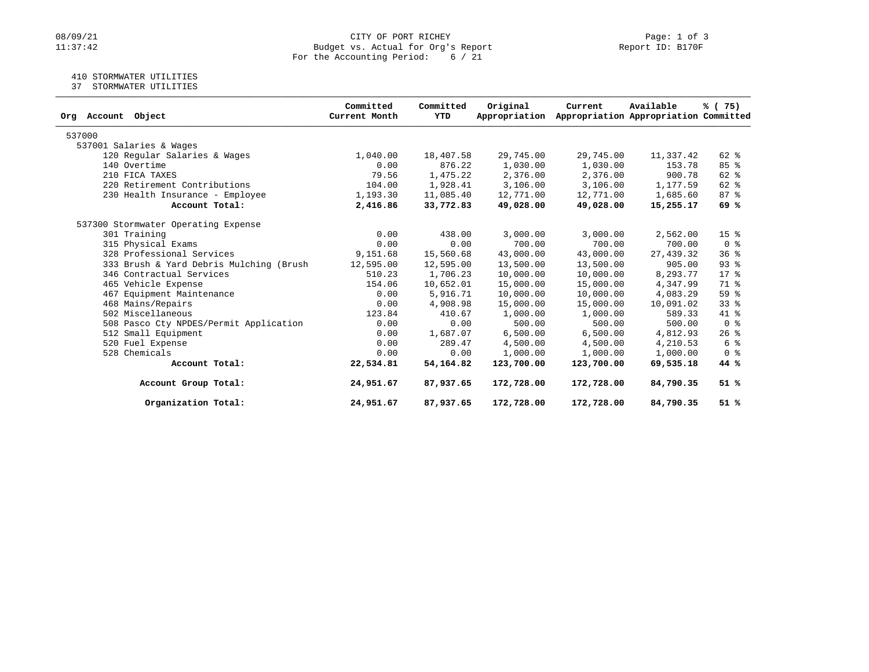# 08/09/21 CITY OF PORT RICHEY Page: 1 of 3<br>Budget vs. Actual for Org's Report Page: 1 of 3<br>Report ID: B170F Budget vs. Actual for Org's Report For the Accounting Period: 6 / 21

### 410 STORMWATER UTILITIES

37 STORMWATER UTILITIES

| Org Account Object                      | Committed<br>Current Month | Committed<br><b>YTD</b> | Original<br>Appropriation | Current    | Available<br>Appropriation Appropriation Committed | % (75)                  |
|-----------------------------------------|----------------------------|-------------------------|---------------------------|------------|----------------------------------------------------|-------------------------|
| 537000                                  |                            |                         |                           |            |                                                    |                         |
| 537001 Salaries & Wages                 |                            |                         |                           |            |                                                    |                         |
| 120 Regular Salaries & Wages            | 1,040.00                   | 18,407.58               | 29,745.00                 | 29,745.00  | 11,337.42                                          | 62 %                    |
| 140 Overtime                            | 0.00                       | 876.22                  | 1,030.00                  | 1,030.00   | 153.78                                             | 85%                     |
| 210 FICA TAXES                          | 79.56                      | 1,475.22                | 2,376.00                  | 2,376.00   | 900.78                                             | 62 %                    |
| 220 Retirement Contributions            | 104.00                     | 1,928.41                | 3,106.00                  | 3,106.00   | 1,177.59                                           | 62 %                    |
| 230 Health Insurance - Employee         | 1,193.30                   | 11,085.40               | 12,771.00                 | 12,771.00  | 1,685.60                                           | 87%                     |
| Account Total:                          | 2,416.86                   | 33,772.83               | 49,028.00                 | 49,028.00  | 15,255.17                                          | 69 %                    |
| 537300 Stormwater Operating Expense     |                            |                         |                           |            |                                                    |                         |
| 301 Training                            | 0.00                       | 438.00                  | 3,000.00                  | 3,000.00   | 2,562.00                                           | 15 <sup>8</sup>         |
| 315 Physical Exams                      | 0.00                       | 0.00                    | 700.00                    | 700.00     | 700.00                                             | 0 <sup>8</sup>          |
| 328 Professional Services               | 9,151.68                   | 15,560.68               | 43,000.00                 | 43,000.00  | 27, 439.32                                         | 36 <sup>8</sup>         |
| 333 Brush & Yard Debris Mulching (Brush | 12,595.00                  | 12,595.00               | 13,500.00                 | 13,500.00  | 905.00                                             | 93%                     |
| 346 Contractual Services                | 510.23                     | 1,706.23                | 10,000.00                 | 10,000.00  | 8,293.77                                           | $17*$                   |
| 465 Vehicle Expense                     | 154.06                     | 10,652.01               | 15,000.00                 | 15,000.00  | 4,347.99                                           | 71 %                    |
| 467 Equipment Maintenance               | 0.00                       | 5,916.71                | 10,000.00                 | 10,000.00  | 4,083.29                                           | 59 <sub>8</sub>         |
| 468 Mains/Repairs                       | 0.00                       | 4,908.98                | 15,000.00                 | 15,000.00  | 10,091.02                                          | $33*$                   |
| 502 Miscellaneous                       | 123.84                     | 410.67                  | 1,000.00                  | 1,000.00   | 589.33                                             | 41 %                    |
| 508 Pasco Cty NPDES/Permit Application  | 0.00                       | 0.00                    | 500.00                    | 500.00     | 500.00                                             | $0 \text{ }$ $\text{ }$ |
| 512 Small Equipment                     | 0.00                       | 1,687.07                | 6,500.00                  | 6,500.00   | 4,812.93                                           | $26$ %                  |
| 520 Fuel Expense                        | 0.00                       | 289.47                  | 4,500.00                  | 4,500.00   | 4,210.53                                           | 6 %                     |
| 528 Chemicals                           | 0.00                       | 0.00                    | 1,000.00                  | 1,000.00   | 1,000.00                                           | 0 <sup>8</sup>          |
| Account Total:                          | 22,534.81                  | 54,164.82               | 123,700.00                | 123,700.00 | 69,535.18                                          | 44 %                    |
| Account Group Total:                    | 24,951.67                  | 87,937.65               | 172,728.00                | 172,728.00 | 84,790.35                                          | 51%                     |
| Organization Total:                     | 24,951.67                  | 87,937.65               | 172,728.00                | 172,728.00 | 84,790.35                                          | 51%                     |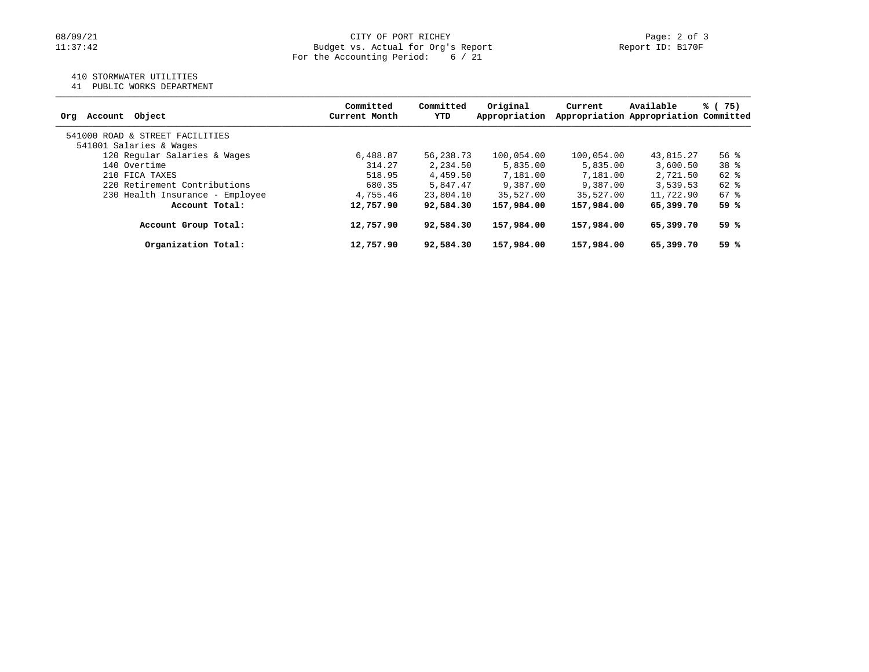### 410 STORMWATER UTILITIES

41 PUBLIC WORKS DEPARTMENT

| Object<br>Account<br>Orq        | Committed<br>Current Month | Committed<br>YTD | Original<br>Appropriation | Current    | Available<br>Appropriation Appropriation Committed | % (75) |
|---------------------------------|----------------------------|------------------|---------------------------|------------|----------------------------------------------------|--------|
| 541000 ROAD & STREET FACILITIES |                            |                  |                           |            |                                                    |        |
| 541001 Salaries & Wages         |                            |                  |                           |            |                                                    |        |
| 120 Regular Salaries & Wages    | 6,488.87                   | 56,238.73        | 100,054.00                | 100,054.00 | 43,815.27                                          | 56%    |
| 140 Overtime                    | 314.27                     | 2,234.50         | 5,835.00                  | 5,835.00   | 3,600.50                                           | 38 %   |
| 210 FICA TAXES                  | 518.95                     | 4,459.50         | 7,181.00                  | 7,181.00   | 2,721.50                                           | 62 %   |
| 220 Retirement Contributions    | 680.35                     | 5,847.47         | 9,387.00                  | 9,387.00   | 3,539.53                                           | 62 %   |
| 230 Health Insurance - Employee | 4,755.46                   | 23,804.10        | 35,527.00                 | 35,527.00  | 11,722.90                                          | 67 %   |
| Account Total:                  | 12,757.90                  | 92,584.30        | 157,984.00                | 157,984.00 | 65,399.70                                          | 59 %   |
| Account Group Total:            | 12,757.90                  | 92,584.30        | 157,984.00                | 157,984.00 | 65,399.70                                          | 59 %   |
| Organization Total:             | 12,757.90                  | 92,584.30        | 157,984.00                | 157,984.00 | 65,399.70                                          | 59 %   |